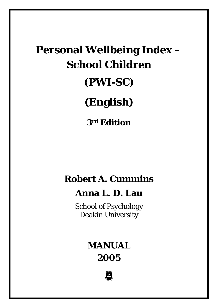# **Personal Wellbeing Index – School Children (PWI-SC) (English)**

**3rd Edition**

# **Robert A. Cummins**

# **Anna L. D. Lau**

School of Psychology Deakin University

# **MANUAL 2005**

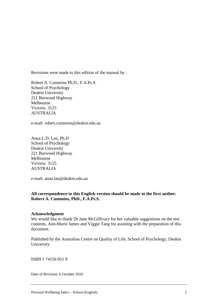Revisions were made to this edition of the manual by :

Robert A. Cummins Ph.D., F.A.Ps.S. School of Psychology Deakin University 221 Burwood Highway Melbourne Victoria 3125 AUSTRALIA

e-mail: robert.cummins@deakin.edu.au

Anna L.D. Lau, Ph.D School of Psychology Deakin University 221 Burwood Highway Melbourne Victoria 3125 AUSTRALIA

e-mail: anna.lau@deakin.edu.au

#### **All correspondence to this English version should be made to the first author: Robert A. Cummins, PhD., F.A.Ps.S.**

#### **Acknowledgment**

We would like to thank Dr Jane McGillivary for her valuable suggestions on the test contents, Ann-Marie James and Viggie Tang for assisting with the preparation of this document.

Published by the Australian Centre on Quality of Life, School of Psychology, Deakin University

ISBN 1 74156 051 9

Date of Revision: 6 October 2010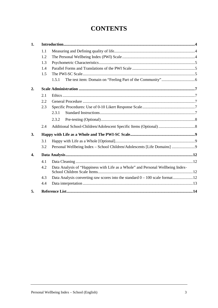# **CONTENTS**

| 1. |     |                                                                                 |  |  |  |
|----|-----|---------------------------------------------------------------------------------|--|--|--|
|    | 1.1 |                                                                                 |  |  |  |
|    | 1.2 |                                                                                 |  |  |  |
|    | 1.3 |                                                                                 |  |  |  |
|    | 1.4 |                                                                                 |  |  |  |
|    | 1.5 |                                                                                 |  |  |  |
|    |     | 1.5.1                                                                           |  |  |  |
| 2. |     |                                                                                 |  |  |  |
|    | 2.1 |                                                                                 |  |  |  |
|    | 2.2 |                                                                                 |  |  |  |
|    | 2.3 |                                                                                 |  |  |  |
|    |     | 2.3.1                                                                           |  |  |  |
|    |     | 2.3.2                                                                           |  |  |  |
|    | 2.4 |                                                                                 |  |  |  |
| 3. |     |                                                                                 |  |  |  |
|    | 3.1 |                                                                                 |  |  |  |
|    | 3.2 | Personal Wellbeing Index - School Children/Adolescents [Life Domains] 9         |  |  |  |
| 4. |     |                                                                                 |  |  |  |
|    | 4.1 |                                                                                 |  |  |  |
|    | 4.2 | Data Analysis of "Happiness with Life as a Whole" and Personal Wellbeing Index- |  |  |  |
|    | 4.3 |                                                                                 |  |  |  |
|    | 4.4 |                                                                                 |  |  |  |
| 5. |     |                                                                                 |  |  |  |
|    |     |                                                                                 |  |  |  |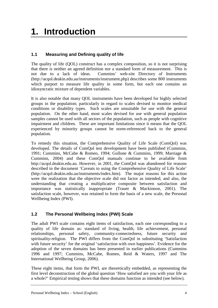# <span id="page-3-0"></span>**1. Introduction**

### <span id="page-3-1"></span>**1.1 Measuring and Defining quality of life**

The quality of life (QOL) construct has a complex composition, so it is not surprising that there is neither an agreed definition nor a standard form of measurement. This is not due to a lack of ideas. Cummins' web-site Directory of Instruments (http://acqol.deakin.edu.au/instruments/instrument.php) describes some 800 instruments which purport to measure life quality in some form, but each one contains an idiosyncratic mixture of dependent variables.

It is also notable that many QOL instruments have been developed for highly selected groups in the population; particularly in regard to scales devised to monitor medical conditions or disability types. Such scales are unsuitable for use with the general population. On the other hand, most scales devised for use with general population samples cannot be used with all sectors of the population, such as people with cognitive impairment and children. These are important limitations since it means that the QOL experienced by minority groups cannot be norm-referenced back to the general population.

To remedy this situation, the Comprehensive Quality of Life Scale (ComQol) was developed. The details of ComQol test development have been published (Cummins, 1991; Cummins, McCabe & Romeo, 1994; Gullone & Cummins, 1999; Marriage & Cummins, 2004) and these ComQol manuals continue to be available from http://acqol.deakin.edu.au. However, in 2001, the ComQol was abandoned for reasons described in the document 'Caveats to using the Comprehensive Quality of Life Scale' (http://acqol.deakin.edu.au/instruments/index.htm). The major reasons for this action were the realization that the objective scale did not factor as intended, and also, the understanding that creating a multiplicative composite between satisfaction and importance was statistically inappropriate (Trauer & Mackinnon, 2001). The satisfaction scale, however, was retained to form the basis of a new scale, the Personal Wellbeing Index (PWI).

# <span id="page-3-2"></span>**1.2 The Personal Wellbeing Index (PWI) Scale**

The adult PWI scale contains eight items of satisfaction, each one corresponding to a quality of life domain as: standard of living, health, life achievement, personal relationships, personal safety, community-connectedness, future security and spirituality-religion. The PWI differs from the ComQol in substituting 'Satisfaction with future security' for the original 'satisfaction with own happiness'. Evidence for the adoption of the seven domains has been presented in earlier publications (Cummins 1996 and 1997; Cummins, McCabe, Romeo, Reid & Waters, 1997 and The International Wellbeing Group, 2006).

These eight items, that form the PWI, are theoretically embedded, as representing the first level deconstruction of the global question 'How satisfied are you with your life as a whole?' Empirical testing shows that these domains function as intended (see below).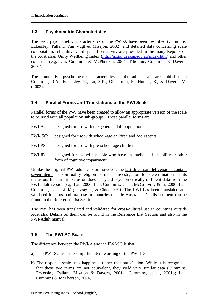#### <span id="page-4-0"></span>**1.3 Psychometric Characteristics**

The basic psychometric characteristics of the PWI-A have been described (Cummins, Eckersley, Pallant, Van Vugt & Misajon, 2002) and detailed data concerning scale composition, reliability, validity, and sensitivity are provided in the many Reports on the Australian Unity Wellbeing Index [\(http://acqol.deakin.edu.au/index.htm\)](http://acqol.deakin.edu.au/index.htm) and other countries (e.g. Lau, Cummins & McPherson, 2004; Tiliouine, Cummins & Davern, 2004).

The cumulative psychometric characteristics of the adult scale are published in Cummins, R.A., Eckersley, R., Lo, S.K., Okerstrom, E., Hunter, B., & Davern, M.  $(2003)$ .

#### <span id="page-4-1"></span>**1.4 Parallel Forms and Translations of the PWI Scale**

Parallel forms of the PWI have been created to allow an appropriate version of the scale to be used with all population sub-groups. These parallel forms are:

- PWI-A: designed for use with the general adult population.
- PWI- SC: designed for use with school-age children and adolescents.
- PWI-PS: designed for use with pre-school age children.
- PWI-ID: designed for use with people who have an intellectual disability or other form of cognitive impairment.

Unlike the original PWI adult version however, the last three parallel versions contain seven items as spirituality-religion is under investigation for determination of its inclusion. Its current exclusion does not yield psychometrically different data from the PWI-adult version (e.g. Lau, 2006; Lau, Cummins, Chan, McGillivray & Li, 2006; Lau, Cummins, Lam, Li, Mcgillivray, J., & Chan 2006.). The PWI has been translated and validated for cross-cultural use in countries outside Australia. Details on them can be found in the Reference List Section.

The PWI has been translated and validated for cross-cultural use in countries outside Australia. Details on them can be found in the Reference List Section and also in the PWI-Adult manual.

### <span id="page-4-2"></span>**1.5 The PWI-SC Scale**

The difference between the PWI-A and the PWI-SC is that:

- a) The PWI-SC uses the simplified item wording of the PWI-ID
- b) The response scale uses happiness, rather than satisfaction. While it is recognized that these two terms are not equivalent, they yield very similar data (Cummins, Eckersley, Pallant, Misajon & Davern, 2001a; Cummins, et al., 2001b; Lau, Cummins & McPherson, 2004).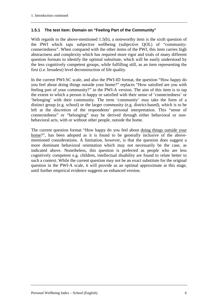#### <span id="page-5-0"></span>**1.5.1 The test item: Domain on "Feeling Part of the Community"**

With regards to the above-mentioned 1.5(b), a noteworthy item is the sixth question of the PWI which taps subjective wellbeing (subjective QOL) of "communityconnectedness". When compared with the other items of the PWI, this item carries high abstractness and complexity which has required more rigor and trials of many different question formats to identify the optimal substitute, which will be easily understood by the less cognitively competent groups, while fulfilling still, as an item representing the first (i.e. broadest) level deconstruction of life quality.

In the current PWI-SC scale, and also the PWI-ID format, the question "How happy do you feel about doing things outside your home?" replaces "How satisfied are you with feeling part of your community?" in the PWI-A version. The aim of this item is to tap the extent to which a person is happy or satisfied with their sense of 'connectedness' or 'belonging' with their community. The term 'community' may take the form of a distinct group (e.g. school) or the larger community (e.g. district-based), which is to be left at the discretion of the respondents' personal interpretation. This "sense of connectedness" or "belonging" may be derived through either behavioral or nonbehavioral acts, with or without other people, outside the home.

The current question format "How happy do you feel about doing things outside your home?", has been adopted as it is found to be generally inclusive of the abovementioned considerations. A limitation, however, is that the question does suggest a more dominant behavioral orientation which may not necessarily be the case, as indicated above. Nonetheless, this question is preferred as people who are less cognitively competent e.g. children, intellectual disability are found to relate better to such a context. While the current question may not be an exact substitute for the original question in the PWI-A scale, it will provide as an optimal approximate at this stage, until further empirical evidence suggests an enhanced version.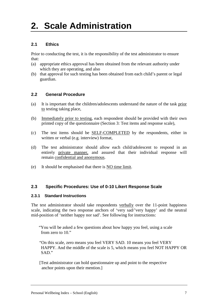# <span id="page-6-0"></span>**2. Scale Administration**

# <span id="page-6-1"></span>**2.1 Ethics**

Prior to conducting the test, it is the responsibility of the test administrator to ensure that:

- (a) appropriate ethics approval has been obtained from the relevant authority under which they are operating, and also
- <span id="page-6-2"></span>(b) that approval for such testing has been obtained from each child's parent or legal guardian.

### **2.2 General Procedure**

- (a) It is important that the children/adolescents understand the nature of the task prior to testing taking place,
- (b) Immediately prior to testing, each respondent should be provided with their own printed copy of the questionnaire (Section 3: Test items and response scale),
- (c) The test items should be SELF-COMPLETED by the respondents, either in written or verbal (e.g. interview) format,
- (d) The test administrator should allow each child/adolescent to respond in an entirely private manner, and assured that their individual response will remain confidential and anonymous.
- <span id="page-6-3"></span>(e) It should be emphasised that there is **NO** time limit.

#### **2.3 Specific Procedures: Use of 0-10 Likert Response Scale**

#### <span id="page-6-4"></span>**2.3.1 Standard Instructions**

The test administrator should take respondents verbally over the 11-point happiness scale, indicating the two response anchors of 'very sad/'very happy' and the neutral mid-position of 'neither happy nor sad'. See following for instructions:

"You will be asked a few questions about how happy you feel, using a scale from zero to 10."

"On this scale, zero means you feel VERY SAD. 10 means you feel VERY HAPPY. And the middle of the scale is 5, which means you feel NOT HAPPY OR SAD."

[Test administrator can hold questionnaire up and point to the respective anchor points upon their mention.]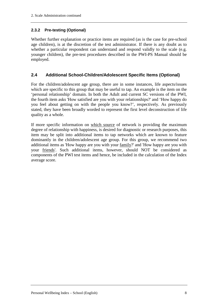#### <span id="page-7-0"></span>**2.3.2 Pre-testing (Optional)**

Whether further explanation or practice items are required (as is the case for pre-school age children), is at the discretion of the test administrator. If there is any doubt as to whether a particular respondent can understand and respond validly to the scale (e.g. younger children), the pre-test procedures described in the PWI-PS Manual should be employed.

### <span id="page-7-1"></span>**2.4 Additional School-Children/Adolescent Specific Items (Optional)**

For the children/adolescent age group, there are in some instances, life aspects/issues which are specific to this group that may be useful to tap. An example is the item on the 'personal relationship' domain. In both the Adult and current SC versions of the PWI, the fourth item asks 'How satisfied are you with your relationships?' and 'How happy do you feel about getting on with the people you know?', respectively. As previously stated, they have been broadly worded to represent the first level deconstruction of life quality as a whole.

If more specific information on which source of network is providing the maximum degree of relationship with happiness, is desired for diagnostic or research purposes, this item may be split into additional items to tap networks which are known to feature dominantly in the children/adolescent age group. For this group, we recommend two additional items as 'How happy are you with your family?' and 'How happy are you with your friends'. Such additional items, however, should NOT be considered as components of the PWI test items and hence, be included in the calculation of the Index average score.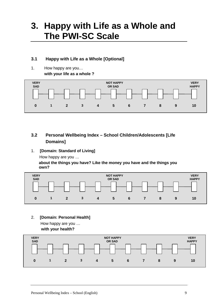# <span id="page-8-0"></span>**3. Happy with Life as a Whole and The PWI-SC Scale**

# <span id="page-8-1"></span>**3.1 Happy with Life as a Whole [Optional]**

1. How happy are you… **with your life as a whole ?**



# <span id="page-8-2"></span>**3.2 Personal Wellbeing Index – School Children/Adolescents [Life Domains]**

1. **[Domain: Standard of Living]**

How happy are you …

**about the things you have? Like the money you have and the things you own?**



2. **[Domain: Personal Health]** How happy are you …

**with your health?**

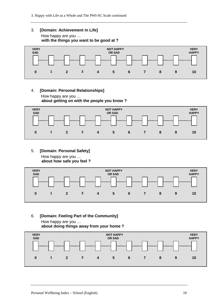### 3. **[Domain: Achievement in Life]** How happy are you …

**with the things you want to be good at ?**



4. **[Domain: Personal Relationships]** How happy are you … **about getting on with the people you know ?**



5. **[Domain: Personal Safety]** How happy are you …

**about how safe you feel ?** 



6. **[Domain: Feeling Part of the Community]** How happy are you …

**about doing things away from your home ?**

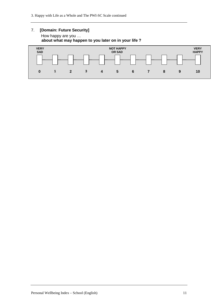#### 7. **[Domain: Future Security]** How happy are you … **about what may happen to you later on in your life ?**

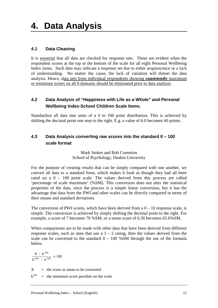### <span id="page-11-1"></span><span id="page-11-0"></span>**4.1 Data Cleaning**

It is essential that all data are checked for response sets. These are evident when the respondent scores at the top or the bottom of the scale for all eight Personal Wellbeing Index items. Such data may indicate a response set due to either acquiescence or a lack of understanding. No matter the cause, the lack of variation will distort the data analysis. Hence, data sets from individual respondents showing **consistently** maximum or minimum scores on all 8 domains should be eliminated prior to data analysis.

# <span id="page-11-2"></span>**4.2 Data Analysis of "Happiness with Life as a Whole" and Personal Wellbeing Index-School Children Scale Items.**

Standardize all data into units of a 0 to 100 point distribution. This is achieved by shifting the decimal point one step to the right. E.g. a value of 6.0 becomes 60 points.

# <span id="page-11-3"></span>**4.3 Data Analysis converting raw scores into the standard 0 – 100 scale format**

Mark Stokes and Bob Cummins School of Psychology, Deakin University

For the purpose of creating results that can be simply compared with one another, we convert all data to a standard form, which makes it look as though they had all been rated on a 0 – 100 point scale. The values derived from this process are called 'percentage of scale maximum' (%SM). This conversion does not alter the statistical properties of the data, since the process is a simple linear conversion, but it has the advantage that data from the PWI and other scales can be directly compared in terms of their means and standard deviations.

The conversion of PWI scores, which have been derived from a  $0 - 10$  response scale, is simple. The conversion is achieved by simply shifting the decimal point to the right. For example, a score of 7 becomes 70 %SM, or a mean score of 6.56 becomes 65.6%SM.

When comparisons are to be made with other data that have been derived from different response scales, such as ones that use a  $1 - 5$  rating, then the values derived from the scale can be converted to the standard  $0 - 100$  %SM through the use of the formula below.

x 100  $k^{max} - k$  $X - k$  $\max_{L}$  min min − −

 $X =$  the score or mean to be converted

 $k^{min}$  = the minimum score possible on the scale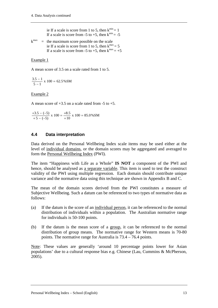ie If a scale is score from 1 to 5, then  $k^{min} = 1$ If a scale is score from -5 to +5, then  $k^{\text{min}} = -5$ 

 $k^{max}$  = the maximum score possible on the scale<br>is  $k^{max}$  = the maximum score from 1 to 5 than  $k^{max}$ ie If a scale is score from 1 to 5, then  $k^{max} = 5$ ie If a scale is score from 1 to 5, then  $k^{max} = 5$ <br>If a scale is score from -5 to +5, then  $k^{max} = +5$ 

#### Example 1

A mean score of 3.5 on a scale rated from 1 to 5.

$$
\frac{3.5 - 1}{5 - 1} \times 100 = 62.5\%SM
$$

#### Example 2

A mean score of  $+3.5$  on a scale rated from  $-5$  to  $+5$ .

$$
\frac{+3.5 - (-5)}{+5 - (-5)} \times 100 = \frac{+8.5}{+10} \times 100 = 85.0\% \text{SM}
$$

#### <span id="page-12-0"></span>**4.4 Data interpretation**

Data derived on the Personal Wellbeing Index scale items may be used either at the level of individual domains, or the domain scores may be aggregated and averaged to form the Personal Wellbeing Index (PWI).

The item "Happiness with Life as a Whole" **IS NOT** a component of the PWI and hence, should be analysed as a separate variable. This item is used to test the construct validity of the PWI using multiple regression. Each domain should contribute unique variance and the normative data using this technique are shown in Appendix B and C.

The mean of the domain scores derived from the PWI constitutes a measure of Subjective Wellbeing. Such a datum can be referenced to two types of normative data as follows:

- (a) If the datum is the score of an individual person, it can be referenced to the normal distribution of individuals within a population. The Australian normative range for individuals is 50-100 points.
- (b) If the datum is the mean score of a group, it can be referenced to the normal distribution of group means. The normative range for Western means is 70-80 points. The normative range for Australia is 73.4 – 76.4 points.

Note: These values are generally 'around 10 percentage points lower for Asian populations' due to a cultural response bias e.g. Chinese (Lau, Cummins & McPherson, 2005).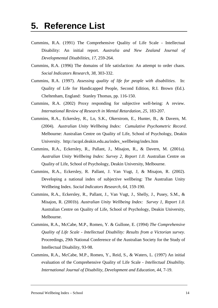- <span id="page-13-0"></span>Cummins, R.A. (1991) The Comprehensive Quality of Life Scale - Intellectual Disability: An initial report. *Australia and New Zealand Journal of Developmental Disabilities, 17*, 259-264.
- Cummins, R.A. (1996) The domains of life satisfaction: An attempt to order chaos. *Social Indicators Research, 38,* 303-332.
- Cummins, R.A. (1997). *Assessing quality of life for people with disabilities*. In: Quality of Life for Handicapped People, Second Edition, R.I. Brown (Ed.). Cheltenham, England: Stanley Thomas, pp. 116-150.
- Cummins, R.A. (2002) Proxy responding for subjective well-being: A review. *International Review of Research in Mental Retardation, 25,* 183-207.
- Cummins, R.A., Eckersley, R., Lo, S.K., Okerstrom, E., Hunter, B., & Davern, M. (2004). *Australian Unity Wellbeing Index: Cumulative Psychometric Record*. Melbourne: Australian Centre on Quality of Life, School of Psychology, Deakin University. http://acqol.deakin.edu.au/index\_wellbeing/index.htm
- Cummins, R.A., Eckersley, R., Pallant, J., Misajon, R., & Davern, M. (2001a). *Australian Unity Wellbeing Index: Survey 2, Report 1.0.* Australian Centre on Quality of Life, School of Psychology, Deakin University, Melbourne.
- Cummins, R.A., Eckersley, R. Pallant, J. Van Vugt, J, & Misajon, R. (2002). Developing a national index of subjective wellbeing: The Australian Unity Wellbeing Index*. Social Indicators Research, 64,* 159-190.
- Cummins, R.A., Eckersley, R., Pallant, J., Van Vugt, J., Shelly, J., Pusey, S.M., & Misajon, R. (2001b). *Australian Unity Wellbeing Index: Survey 1, Report 1.0.*  Australian Centre on Quality of Life, School of Psychology, Deakin University, Melbourne.
- Cummins, R.A., McCabe, M.P., Romeo, Y. & Gullone, E. (1994) *The Comprehensive Quality of Life Scale - Intellectual Disability: Results from a Victorian survey.* Proceedings, 29th National Conference of the Australian Society for the Study of Intellectual Disability, 93-98.
- Cummins, R.A., McCabe, M.P., Romeo, Y., Reid, S., & Waters, L. (1997) An initial evaluation of the Comprehensive Quality of Life Scale - *Intellectual Disability. International Journal of Disability, Development and Education, 44*, 7-19.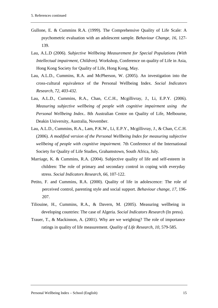- Gullone, E. & Cummins R.A. (1999). The Comprehensive Quality of Life Scale: A psychometric evaluation with an adolescent sample. *Behaviour Change, 16*, 127- 139.
- Lau, A.L.D (2006). *Subjective Wellbeing Measurement for Special Populations (With Intellectual impairment, Children).* Workshop, Conference on quality of Life in Asia, Hong Kong Society for Quality of Life, Hong Kong, May.
- Lau, A.L.D., Cummins, R.A. and McPherson, W. (2005). An investigation into the cross-cultural equivalence of the Personal Wellbeing Index. *Social Indicators Research, 72, 403-432.*
- Lau, A.L.D., Cummins, R.A., Chan, C.C.H., Mcgillivray, J., Li, E.P.Y. (2006). *Measuring subjective wellbeing of people with cognitive impairment using the Personal Wellbeing Index..* 8th Australian Centre on Quality of Life, Melbourne, Deakin University, Australia, November.
- Lau, A.L.D., Cummins, R.A., Lam, P.K.W., Li, E.P.Y., Mcgillivray, J., & Chan, C.C.H. (2006). *A modified version of the Personal Wellbeing Index for measuring subjective wellbeing of people with cognitive impairment.* 7th Conference of the International Society for Quality of Life Studies, Grahamstown, South Africa, July.
- Marriage, K. & Cummins, R.A. (2004). Subjective quality of life and self-esteem in children: The role of primary and secondary control in coping with everyday stress. *Social Indicators Research, 66*, 107-122.
- Petito, F. and Cummins, R.A. (2000). Quality of life in adolescence: The role of perceived control, parenting style and social support. *Behaviour change, 17*, 196- 207.
- Tiliouine, H., Cummins, R.A., & Davern, M. (2005). Measuring wellbeing in developing countries: The case of Algeria. *Social Indicators Research* (In press).
- Trauer, T., & Mackinnon, A. (2001). Why are we weighting? The role of importance ratings in quality of life measurement. *Quality of Life Research, 10*, 579-585.